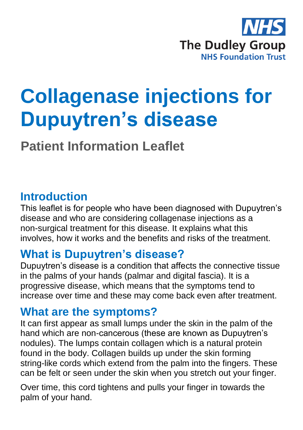

# **Collagenase injections for Dupuytren's disease**

**Patient Information Leaflet**

## **Introduction**

This leaflet is for people who have been diagnosed with Dupuytren's disease and who are considering collagenase injections as a non-surgical treatment for this disease. It explains what this involves, how it works and the benefits and risks of the treatment.

## **What is Dupuytren's disease?**

Dupuytren's disease is a condition that affects the connective tissue in the palms of your hands (palmar and digital fascia). It is a progressive disease, which means that the symptoms tend to increase over time and these may come back even after treatment.

## **What are the symptoms?**

It can first appear as small lumps under the skin in the palm of the hand which are non-cancerous (these are known as Dupuytren's nodules). The lumps contain collagen which is a natural protein found in the body. Collagen builds up under the skin forming string-like cords which extend from the palm into the fingers. These can be felt or seen under the skin when you stretch out your finger.

Over time, this cord tightens and pulls your finger in towards the palm of your hand.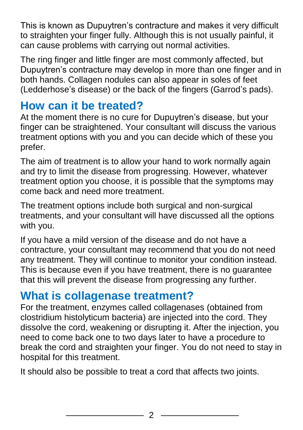This is known as Dupuytren's contracture and makes it very difficult to straighten your finger fully. Although this is not usually painful, it can cause problems with carrying out normal activities.

The ring finger and little finger are most commonly affected, but Dupuytren's contracture may develop in more than one finger and in both hands. Collagen nodules can also appear in soles of feet (Ledderhose's disease) or the back of the fingers (Garrod's pads).

## **How can it be treated?**

At the moment there is no cure for Dupuytren's disease, but your finger can be straightened. Your consultant will discuss the various treatment options with you and you can decide which of these you prefer.

The aim of treatment is to allow your hand to work normally again and try to limit the disease from progressing. However, whatever treatment option you choose, it is possible that the symptoms may come back and need more treatment.

The treatment options include both surgical and non-surgical treatments, and your consultant will have discussed all the options with you.

If you have a mild version of the disease and do not have a contracture, your consultant may recommend that you do not need any treatment. They will continue to monitor your condition instead. This is because even if you have treatment, there is no guarantee that this will prevent the disease from progressing any further.

# **What is collagenase treatment?**

For the treatment, enzymes called collagenases (obtained from clostridium histolyticum bacteria) are injected into the cord. They dissolve the cord, weakening or disrupting it. After the injection, you need to come back one to two days later to have a procedure to break the cord and straighten your finger. You do not need to stay in hospital for this treatment.

It should also be possible to treat a cord that affects two joints.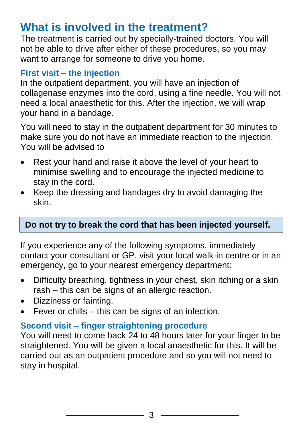## **What is involved in the treatment?**

The treatment is carried out by specially-trained doctors. You will not be able to drive after either of these procedures, so you may want to arrange for someone to drive you home.

## **First visit – the injection**

In the outpatient department, you will have an injection of collagenase enzymes into the cord, using a fine needle. You will not need a local anaesthetic for this. After the injection, we will wrap your hand in a bandage.

You will need to stay in the outpatient department for 30 minutes to make sure you do not have an immediate reaction to the injection. You will be advised to

- Rest your hand and raise it above the level of your heart to minimise swelling and to encourage the injected medicine to stay in the cord.
- Keep the dressing and bandages dry to avoid damaging the skin.

## **Do not try to break the cord that has been injected yourself.**

If you experience any of the following symptoms, immediately contact your consultant or GP, visit your local walk-in centre or in an emergency, go to your nearest emergency department:

- Difficulty breathing, tightness in your chest, skin itching or a skin rash – this can be signs of an allergic reaction.
- Dizziness or fainting.
- Fever or chills this can be signs of an infection.

## **Second visit – finger straightening procedure**

You will need to come back 24 to 48 hours later for your finger to be straightened. You will be given a local anaesthetic for this. It will be carried out as an outpatient procedure and so you will not need to stay in hospital.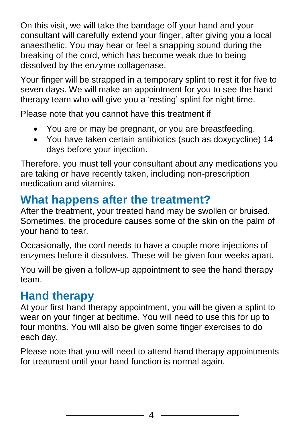On this visit, we will take the bandage off your hand and your consultant will carefully extend your finger, after giving you a local anaesthetic. You may hear or feel a snapping sound during the breaking of the cord, which has become weak due to being dissolved by the enzyme collagenase.

Your finger will be strapped in a temporary splint to rest it for five to seven days. We will make an appointment for you to see the hand therapy team who will give you a 'resting' splint for night time.

Please note that you cannot have this treatment if

- You are or may be pregnant, or you are breastfeeding.
- You have taken certain antibiotics (such as doxycycline) 14 days before your injection.

Therefore, you must tell your consultant about any medications you are taking or have recently taken, including non-prescription medication and vitamins.

# **What happens after the treatment?**

After the treatment, your treated hand may be swollen or bruised. Sometimes, the procedure causes some of the skin on the palm of your hand to tear.

Occasionally, the cord needs to have a couple more injections of enzymes before it dissolves. These will be given four weeks apart.

You will be given a follow-up appointment to see the hand therapy team.

# **Hand therapy**

At your first hand therapy appointment, you will be given a splint to wear on your finger at bedtime. You will need to use this for up to four months. You will also be given some finger exercises to do each day.

Please note that you will need to attend hand therapy appointments for treatment until your hand function is normal again.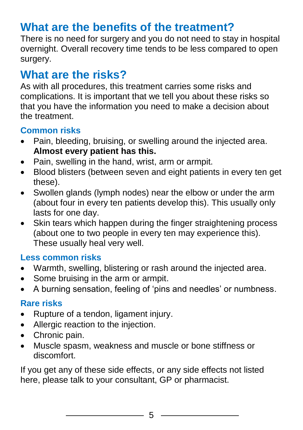# **What are the benefits of the treatment?**

There is no need for surgery and you do not need to stay in hospital overnight. Overall recovery time tends to be less compared to open surgery.

# **What are the risks?**

As with all procedures, this treatment carries some risks and complications. It is important that we tell you about these risks so that you have the information you need to make a decision about the treatment.

## **Common risks**

- Pain, bleeding, bruising, or swelling around the injected area. **Almost every patient has this.**
- Pain, swelling in the hand, wrist, arm or armpit.
- Blood blisters (between seven and eight patients in every ten get these).
- Swollen glands (lymph nodes) near the elbow or under the arm (about four in every ten patients develop this). This usually only lasts for one day.
- Skin tears which happen during the finger straightening process (about one to two people in every ten may experience this). These usually heal very well.

## **Less common risks**

- Warmth, swelling, blistering or rash around the injected area.
- Some bruising in the arm or armpit.
- A burning sensation, feeling of 'pins and needles' or numbness.

## **Rare risks**

- Rupture of a tendon, ligament injury.
- Allergic reaction to the injection.
- Chronic pain.
- Muscle spasm, weakness and muscle or bone stiffness or discomfort.

If you get any of these side effects, or any side effects not listed here, please talk to your consultant, GP or pharmacist.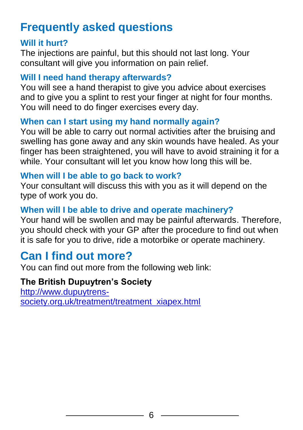# **Frequently asked questions**

#### **Will it hurt?**

The injections are painful, but this should not last long. Your consultant will give you information on pain relief.

#### **Will I need hand therapy afterwards?**

You will see a hand therapist to give you advice about exercises and to give you a splint to rest your finger at night for four months. You will need to do finger exercises every day.

#### **When can I start using my hand normally again?**

You will be able to carry out normal activities after the bruising and swelling has gone away and any skin wounds have healed. As your finger has been straightened, you will have to avoid straining it for a while. Your consultant will let you know how long this will be.

#### **When will I be able to go back to work?**

Your consultant will discuss this with you as it will depend on the type of work you do.

## **When will I be able to drive and operate machinery?**

Your hand will be swollen and may be painful afterwards. Therefore, you should check with your GP after the procedure to find out when it is safe for you to drive, ride a motorbike or operate machinery.

# **Can I find out more?**

You can find out more from the following web link:

## **The British Dupuytren's Society**

[http://www.dupuytrens](http://www.dupuytrens-society.org.uk/treatment/treatment_xiapex.html)[society.org.uk/treatment/treatment\\_xiapex.html](http://www.dupuytrens-society.org.uk/treatment/treatment_xiapex.html)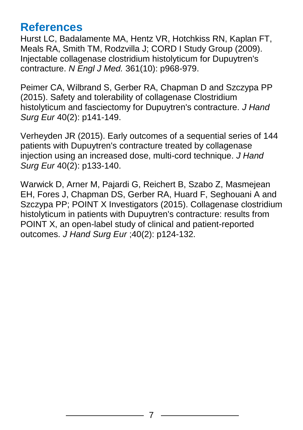## **References**

Hurst LC, Badalamente MA, Hentz VR, Hotchkiss RN, Kaplan FT, Meals RA, Smith TM, Rodzvilla J; CORD I Study Group (2009). Injectable collagenase clostridium histolyticum for Dupuytren's contracture. *N Engl J Med.* 361(10): p968-979.

Peimer CA, Wilbrand S, Gerber RA, Chapman D and Szczypa PP (2015). Safety and tolerability of collagenase Clostridium histolyticum and fasciectomy for Dupuytren's contracture. *J Hand Surg Eur* 40(2): p141-149.

Verheyden JR (2015). Early outcomes of a sequential series of 144 patients with Dupuytren's contracture treated by collagenase injection using an increased dose, multi-cord technique. *J Hand Surg Eur* 40(2): p133-140.

Warwick D, Arner M, Pajardi G, Reichert B, Szabo Z, Masmejean EH, Fores J, Chapman DS, Gerber RA, Huard F, Seghouani A and Szczypa PP; POINT X Investigators (2015). Collagenase clostridium histolyticum in patients with Dupuytren's contracture: results from POINT X, an open-label study of clinical and patient-reported outcomes. *J Hand Surg Eur* ;40(2): p124-132.